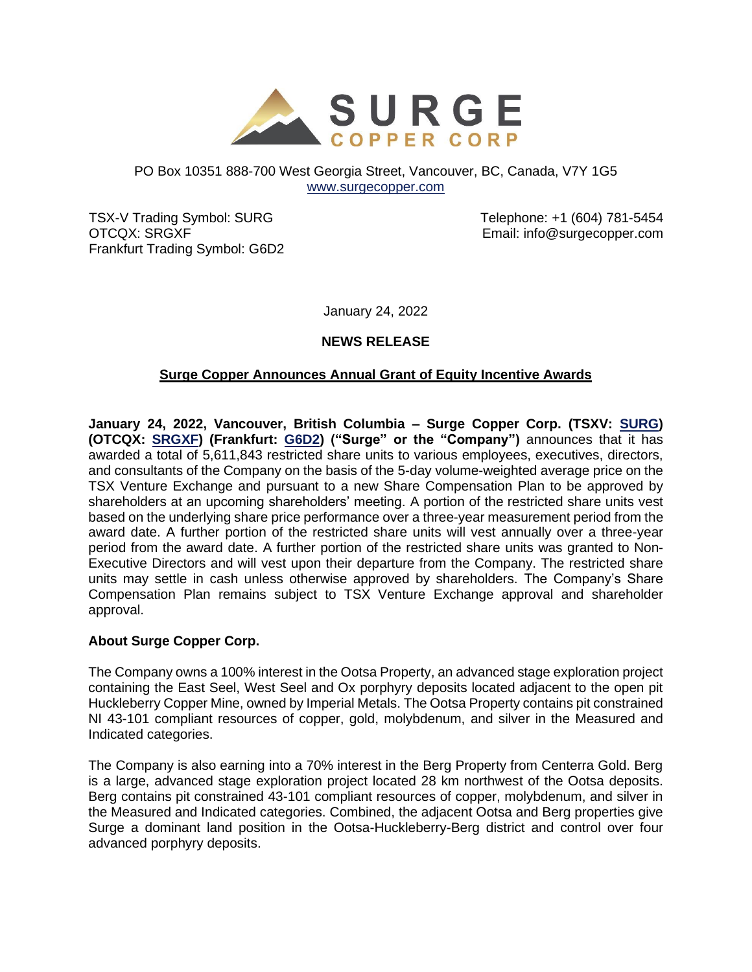

#### PO Box 10351 888-700 West Georgia Street, Vancouver, BC, Canada, V7Y 1G5 [www.surgecopper.com](http://www.surgecopper.com/)

TSX-V Trading Symbol: SURG OTCQX: SRGXF Frankfurt Trading Symbol: G6D2 Telephone: +1 (604) 781-5454 Email: info@surgecopper.com

January 24, 2022

# **NEWS RELEASE**

# **Surge Copper Announces Annual Grant of Equity Incentive Awards**

**January 24, 2022, Vancouver, British Columbia – Surge Copper Corp. (TSXV: [SURG\)](https://money.tmx.com/en/quote/SURG) (OTCQX: [SRGXF\)](https://www.otcmarkets.com/stock/SRGXF/overview) (Frankfurt: [G6D2\)](https://www.boerse-frankfurt.de/equity/surge-copper-corp) ("Surge" or the "Company")** announces that it has awarded a total of 5,611,843 restricted share units to various employees, executives, directors, and consultants of the Company on the basis of the 5-day volume-weighted average price on the TSX Venture Exchange and pursuant to a new Share Compensation Plan to be approved by shareholders at an upcoming shareholders' meeting. A portion of the restricted share units vest based on the underlying share price performance over a three-year measurement period from the award date. A further portion of the restricted share units will vest annually over a three-year period from the award date. A further portion of the restricted share units was granted to Non-Executive Directors and will vest upon their departure from the Company. The restricted share units may settle in cash unless otherwise approved by shareholders. The Company's Share Compensation Plan remains subject to TSX Venture Exchange approval and shareholder approval.

### **About Surge Copper Corp.**

The Company owns a 100% interest in the Ootsa Property, an advanced stage exploration project containing the East Seel, West Seel and Ox porphyry deposits located adjacent to the open pit Huckleberry Copper Mine, owned by Imperial Metals. The Ootsa Property contains pit constrained NI 43-101 compliant resources of copper, gold, molybdenum, and silver in the Measured and Indicated categories.

The Company is also earning into a 70% interest in the Berg Property from Centerra Gold. Berg is a large, advanced stage exploration project located 28 km northwest of the Ootsa deposits. Berg contains pit constrained 43-101 compliant resources of copper, molybdenum, and silver in the Measured and Indicated categories. Combined, the adjacent Ootsa and Berg properties give Surge a dominant land position in the Ootsa-Huckleberry-Berg district and control over four advanced porphyry deposits.